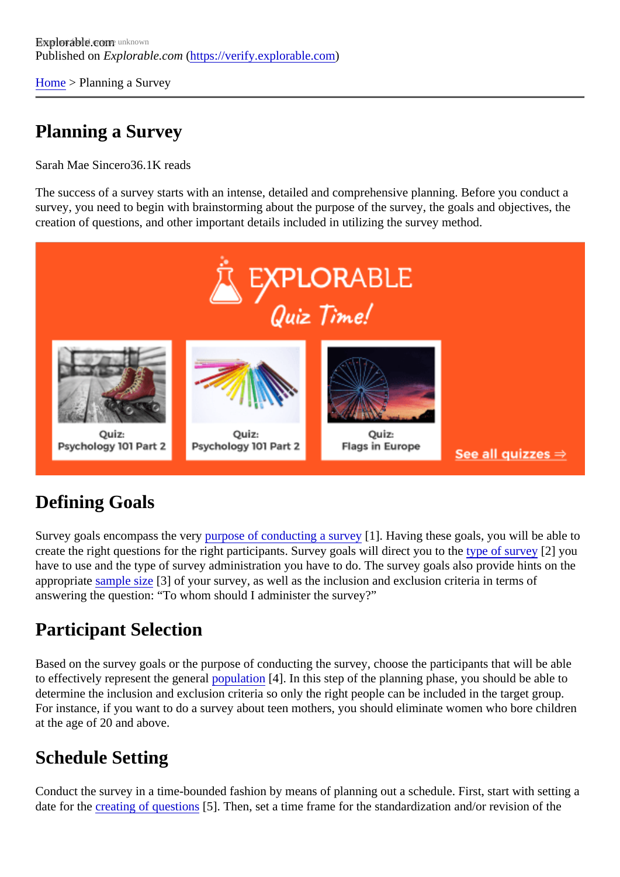[Home](https://verify.explorable.com/)> Planning a Survey

## Planning a Survey

Sarah Mae Since&6.1K reads

The success of a survey starts with an intense, detailed and comprehensive planning. Before you conduct survey, you need to begin with brainstorming about the purpose of the survey, the goals and objectives, the creation of questions, and other important details included in utilizing the survey method.

# Defining Goals

Survey goals encompass the very pose of conducting a survey. Having these goals, you will be able to create the right questions for the right participants. Survey goals will direct yout to the survey[2] you have to use and the type of survey administration you have to do. The survey goals also provide hints on t appropriat[e sample siz](https://verify.explorable.com/sample-size)<sup>[3]</sup> of your survey, as well as the inclusion and exclusion criteria in terms of answering the question: "To whom should I administer the survey?"

### Participant Selection

Based on the survey goals or the purpose of conducting the survey, choose the participants that will be able to effectively represent the general pulation [4]. In this step of the planning phase, you should be able to determine the inclusion and exclusion criteria so only the right people can be included in the target group. For instance, if you want to do a survey about teen mothers, you should eliminate women who bore children at the age of 20 and above.

# Schedule Setting

Conduct the survey in a time-bounded fashion by means of planning out a schedule. First, start with settin date for th[e creating of question](https://verify.explorable.com/constructing-survey-questions)<sup>5</sup>]. Then, set a time frame for the standardization and/or revision of the